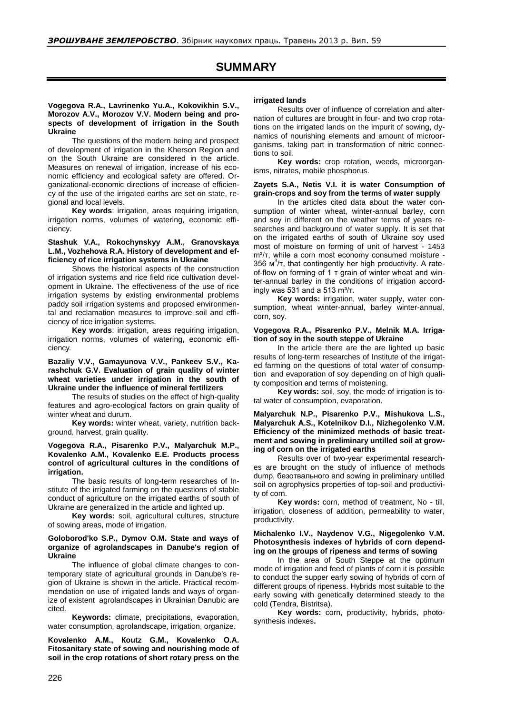# **SUMMARY**

# **Vogegova R.A., Lavrinenko Yu.A., Kokovikhin S.V., Morozov A.V., Morozov V.V. Modern being and prospects of development of irrigation in the South Ukraine**

The questions of the modern being and prospect of development of irrigation in the Kherson Region and on the South Ukraine are considered in the article. Measures on renewal of irrigation, increase of his economic efficiency and ecological safety are offered. Organizational-economic directions of increase of efficiency of the use of the irrigated earths are set on state, regional and local levels.

**Key words**: irrigation, areas requiring irrigation, irrigation norms, volumes of watering, economic efficiency.

#### **Stashuk V.A., Rokochynskyy A.M., Granovskaya L.M., Vozhehova R.A. History of development and efficiency of rice irrigation systems in Ukraine**

Shows the historical aspects of the construction of irrigation systems and rice field rice cultivation development in Ukraine. The effectiveness of the use of rice irrigation systems by existing environmental problems paddy soil irrigation systems and proposed environmental and reclamation measures to improve soil and efficiency of rice irrigation systems.

**Key words**: irrigation, areas requiring irrigation, irrigation norms, volumes of watering, economic efficiency.

#### **Bazaliy V.V., Gamayunova V.V., Pankeev S.V., Karashchuk G.V. Evaluation of grain quality of winter wheat varieties under irrigation in the south of Ukraine under the influence of mineral fertilizers**

The results of studies on the effect of high-quality features and agro-ecological factors on grain quality of winter wheat and durum.

**Key words:** winter wheat, variety, nutrition background, harvest, grain quality.

#### **Vogegova R.A., Pisarenko P.V., Malyarchuk M.P., Kovalenko A.M., Kovalenko E.E. Products process control of agricultural cultures in the conditions of irrigation.**

The basic results of long-term researches of Institute of the irrigated farming on the questions of stable conduct of agriculture on the irrigated earths of south of Ukraine are generalized in the article and lighted up.

**Key words:** soil, agricultural cultures, structure of sowing areas, mode of irrigation.

#### **Goloborod'ko S.P., Dymov O.M. State and ways of organize of agrolandscapes in Danube's region of Ukraine**

The influence of global climate changes to contemporary state of agricultural grounds in Danube's region of Ukraine is shown in the article. Practical recommendation on use of irrigated lands and ways of organize of existent agrolandscapes in Ukrainian Danubic are cited.

**Keywords:** climate, precipitations, evaporation, water consumption, agrolandscape, irrigation, organize.

**Kovalenko А.М., Кoutz G.M., Kovalenko О.A. Fitosanitary state of sowing and nourishing mode of soil in the crop rotations of short rotary press on the** 

#### **irrigated lands**

Results over of influence of correlation and alternation of cultures are brought in four- and two crop rotations on the irrigated lands on the impurit of sowing, dynamics of nourishing elements and amount of microorganisms, taking part in transformation of nitric connections to soil.

**Key words:** crop rotation, weeds, microorganisms, nitrates, mobile phosphorus.

#### **Zayets S.A., Nеtis V.I. it is water Consumption of grain-crops and soy from the terms of water supply**

In the articles cited data about the water consumption of winter wheat, winter-annual barley, corn and soy in different on the weather terms of years researches and background of water supply. It is set that on the irrigated earths of south of Ukraine soy used most of moisture on forming of unit of harvest - 1453 m<sup>3</sup>/т, while a corn most economy consumed moisture -356  $\mu^3/\tau$ , that contingently her high productivity. A rateof-flow on forming of 1 т grain of winter wheat and winter-annual barley in the conditions of irrigation accordingly was 531 and a 513  $m^3/\tau$ .

**Key words:** irrigation, water supply, water consumption, wheat winter-annual, barley winter-annual, corn, soy.

#### **Vogegova R.А., Pisarenko P.V., Melnik M.A. Irrigation of soy in the south steppe of Ukraine**

In the article there are the are lighted up basic results of long-term researches of Institute of the irrigated farming on the questions of total water of consumption and evaporation of soy depending on of high quality composition and terms of moistening.

**Key words:** soil, soy, the mode of irrigation is total water of consumption, evaporation.

## **Malyarchuk N.P., Pisarenko P.V., Мishukova L.S., Маlyarchuk А.S., Kotelnikov D.I., Nizhegolenko V.M. Efficiency of the minimized methods of basic treatment and sowing in preliminary untilled soil at growing of corn on the irrigated earths**

Results over of two-year experimental researches are brought on the study of influence of methods dump, безотвального and sowing in preliminary untilled soil on agrophysics properties of top-soil and productivity of corn.

**Key words:** corn, method of treatment, No - till, irrigation, closeness of addition, permeability to water, productivity.

# **Miсhalenko I.V., Naydenov V.G., Nigegolenko V.M. Photosynthesis indexes of hybrids of corn depending on the groups of ripeness and terms of sowing**

In the area of South Steppe at the optimum mode of irrigation and feed of plants of corn it is possible to conduct the supper early sowing of hybrids of corn of different groups of ripeness. Hybrids most suitable to the early sowing with genetically determined steady to the cold (Tendra, Bistritsa).

**Key words:** corn, productivity, hybrids, photosynthesis indexes**.**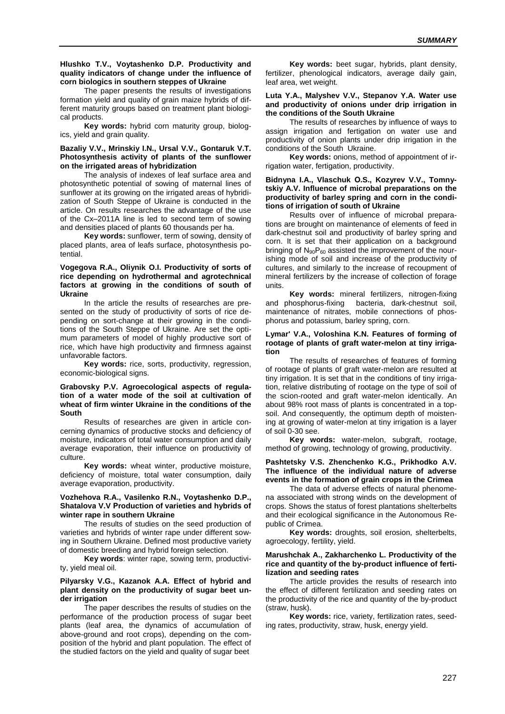# **Hlushko T.V., Voytashenko D.P. Productivity and quality indicators of change under the influence of corn biologics in southern steppes of Ukraine**

The paper presents the results of investigations formation yield and quality of grain maize hybrids of different maturity groups based on treatment plant biological products.

**Key words:** hybrid corn maturity group, biologics, yield and grain quality.

## **Bazaliy V.V., Mrinskiy I.N., Ursal V.V., Gontaruk V.T. Photosynthesis activity of plants of the sunflower on the irrigated areas of hybridization**

The analysis of indexes of leaf surface area and photosynthetic potential of sowing of maternal lines of sunflower at its growing on the irrigated areas of hybridization of South Steppe of Ukraine is conducted in the article. On results researches the advantage of the use of the Cx–2011A line is led to second term of sowing and densities placed of plants 60 thousands per ha.

**Key words:** sunflower, term of sowing, density of placed plants, area of leafs surface, photosynthesis potential.

# **Vogegova R.A., Oliynik O.I. Productivity of sorts of rice depending on hydrothermal and agrotechnical factors at growing in the conditions of south of Ukraine**

In the article the results of researches are presented on the study of productivity of sorts of rice depending on sort-change at their growing in the conditions of the South Steppe of Ukraine. Are set the optimum parameters of model of highly productive sort of rice, which have high productivity and firmness against unfavorable factors.

**Key words:** rice, sorts, productivity, regression, economic-biological signs.

#### **Grabovsky P.V. Agroecological aspects of regulation of a water mode of the soil at cultivation of wheat of firm winter Ukraine in the conditions of the South**

Results of researches are given in article concerning dynamics of productive stocks and deficiency of moisture, indicators of total water consumption and daily average evaporation, their influence on productivity of culture.

**Key words:** wheat winter, productive moisture, deficiency of moisture, total water consumption, daily average evaporation, productivity.

# **Vozhehova R.A., Vasilenko R.N., Voytashenko D.P., Shatalovа V.V Рroduction of varieties and hybrids of winter rape in southern Ukraine**

The results of studies on the seed production of varieties and hybrids of winter rape under different sowing in Southern Ukraine. Defined most productive variety of domestic breeding and hybrid foreign selection.

**Key words**: winter rape, sowing term, productivity, yield meal oil.

## **Pilyarsky V.G., Kazanok A.A. Effect of hybrid and plant density on the productivity of sugar beet under irrigation**

The paper describes the results of studies on the performance of the production process of sugar beet plants (leaf area, the dynamics of accumulation of above-ground and root crops), depending on the composition of the hybrid and plant population. The effect of the studied factors on the yield and quality of sugar beet

**Key words:** beet sugar, hybrids, plant density, fertilizer, phenological indicators, average daily gain, leaf area, wet weight.

## **Luta Y.A., Malyshev V.V., Stepanov Y.A. Water use and productivity of onions under drip irrigation in the conditions of the South Ukraine**

The results of researches by influence of ways to assign irrigation and fertigation on water use and productivity of onion plants under drip irrigation in the conditions of the South Ukraine.

**Key words:** onions, method of appointment of irrigation water, fertigation, productivity.

# **Bidnyna I.A., Vlaschuk О.S., Kozyrev V.V., Tomnytskiy A.V. Influence of microbal preparations on the productivity of barley spring and corn in the conditions of irrigation of south of Ukraine**

Results over of influence of microbal preparations are brought on maintenance of elements of feed in dark-chestnut soil and productivity of barley spring and corn. It is set that their application on a background bringing of  $N_{90}P_{60}$  assisted the improvement of the nourishing mode of soil and increase of the productivity of cultures, and similarly to the increase of recoupment of mineral fertilizers by the increase of collection of forage units.

**Key words:** mineral fertilizers, nitrogen-fixing and phosphorus-fixing bacteria, dark-chestnut soil, maintenance of nitrates, mobile connections of phosphorus and potassium, barley spring, corn.

#### **Lymar' V.A., Voloshina K.N. Features of forming of rootage of plants of graft water-melon at tiny irrigation**

The results of researches of features of forming of rootage of plants of graft water-melon are resulted at tiny irrigation. It is set that in the conditions of tiny irrigation, relative distributing of rootage on the type of soil of the scion-rooted and graft water-melon identically. An about 98% root mass of plants is concentrated in a topsoil. And consequently, the optimum depth of moistening at growing of water-melon at tiny irrigation is a layer of soil 0-30 see.

**Key words:** water-melon, subgraft, rootage, method of growing, technology of growing, productivity.

# **Pashtetsky V.S. Zhenchenko K.G., Prikhodko A.V. The influence of the individual nature of adverse events in the formation of grain crops in the Crimea**

The data of adverse effects of natural phenomena associated with strong winds on the development of crops. Shows the status of forest plantations shelterbelts and their ecological significance in the Autonomous Republic of Crimea.

**Key words:** droughts, soil erosion, shelterbelts, agroecology, fertility, yield.

#### **Marushchak A., Zakharchenko L. Productivity of the rice and quantity of the by-product influence of fertilization and seeding rates**

The article provides the results of research into the effect of different fertilization and seeding rates on the productivity of the rice and quantity of the by-product (straw, husk).

**Key words:** rice, variety, fertilization rates, seeding rates, productivity, straw, husk, energy yield.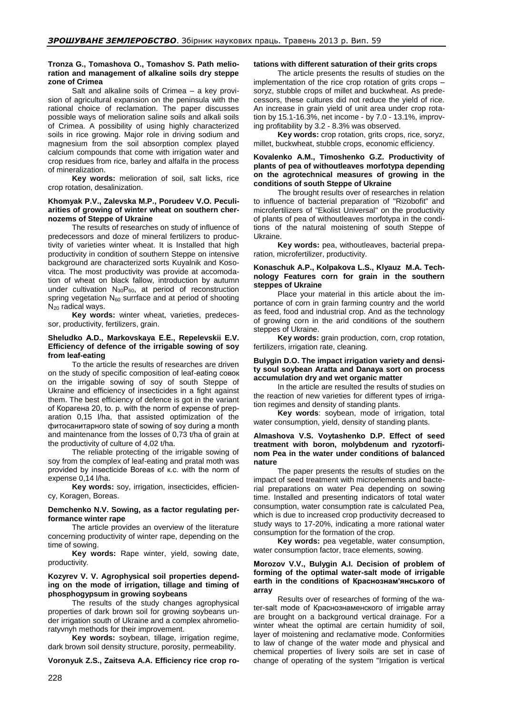# **Tronza G., Tomashova O., Tomashov S. Path melioration and management of alkaline soils dry steppe zone of Crimea**

Salt and alkaline soils of Crimea – a key provision of agricultural expansion on the peninsula with the rational choice of reclamation. The paper discusses possible ways of melioration saline soils and alkali soils of Crimea. A possibility of using highly characterized soils in rice growing. Major role in driving sodium and magnesium from the soil absorption complex played calcium compounds that come with irrigation water and crop residues from rice, barley and alfalfa in the process of mineralization.

**Key words:** melioration of soil, salt licks, rice crop rotation, desalinization.

# **Khomyak P.V., Zalevska M.P., Porudeev V.O. Peculiarities of growing of winter wheat on southern chernozems of Steppe of Ukraine**

The results of researches on study of influence of predecessors and doze of mineral fertilizers to productivity of varieties winter wheat. It is Installed that high productivity in condition of southern Steppe on intensive background are characterized sorts Kuyalnik and Kosovitca. The most productivity was provide at accomodation of wheat on black fallow, [introduction](http://www.lingvo-online.ru/ru/Search/Translate/GlossaryItemExtraInfo?text=%d0%b2%d0%bd%d0%b5%d1%81%d0%b5%d0%bd%d0%b8%d0%b5&translation=introduction&srcLang=ru&destLang=en) by autumn under cultivation  $N_{30}P_{60}$ , at period of reconstruction spring vegetation  $N_{60}$  surrface and at period of shooting N<sub>20</sub> radical ways.

**Key words:** winter wheat, varieties, predecessor, productivity, fertilizers, grain.

#### **Sheludko А.D., Markovskaya Е.Е., Repelevskii E.V. Efficiency of defence of the irrigable sowing of soy from leaf-eating**

To the article the results of researches are driven on the study of specific composition of leaf-eating совок on the irrigable sowing of soy of south Steppe of Ukraine and efficiency of insecticides in a fight against them. The best efficiency of defence is got in the variant of Корагена 20, to. p. with the norm of expense of preparation 0,15 l/ha, that assisted optimization of the фитосанитарного state of sowing of soy during a month and maintenance from the losses of 0,73 t/ha of grain at the productivity of culture of 4,02 t/ha.

The reliable protecting of the irrigable sowing of soy from the complex of leaf-eating and pratal moth was provided by insecticide Boreas of к.с. with the norm of expense 0,14 l/ha.

**Key words:** soy, irrigation, insecticides, efficiency, Koragen, Boreas.

#### **Demchenko N.V. Sowing, as a factor regulating performance winter rape**

The article provides an overview of the literature concerning productivity of winter rape, depending on the time of sowing.

**Key words:** Rape winter, yield, sowing date, productivity*.*

# **Kozyrev V. V. Agrophysical soil properties depending on the mode of irrigation, tillage and timing of phosphogypsum in growing soybeans**

The results of the study changes agrophysical properties of dark brown soil for growing soybeans under irrigation south of Ukraine and a complex ahromelioratyvnyh methods for their improvement.

**Key words:** soybean, tillage, irrigation regime, dark brown soil density structure, porosity, permeability.

**Voronyuk Z.S., Zaitseva A.A. Efficiency rice crop ro-**

# **tations with different saturation of their grits crops**

The article presents the results of studies on the implementation of the rice crop rotation of grits crops – soryz, stubble crops of millet and buckwheat. As predecessors, these cultures did not reduce the yield of rice. An increase in grain yield of unit area under crop rotation by 15.1-16.3%, net income - by 7.0 - 13.1%, improving profitability by 3.2 - 8.3% was observed.

**Key words:** crop rotation, grits crops, rice, soryz, millet, buckwheat, stubble crops, economic efficiency.

# **Kovalenko A.M., Timoshenko G.Z. Productivity of plants of pea of withoutleaves morfotypa depending on the agrotechnical measures of growing in the conditions of south Steppe of Ukraine**

The brought results over of researches in relation to influence of bacterial preparation of "Rizobofit" and microfertilizers of "Ekolist Universal" on the productivity of plants of pea of withoutleaves morfotypa in the conditions of the natural moistening of south Steppe of Ukraine.

**Key words:** pea, withoutleaves, bacterial preparation, microfertilizer, productivity.

# **Konaschuk A.P., Kolpakovа L.S., Klyauz M.A. Technology Features corn for grain in the southern steppes of Ukraine**

Place your material in this article about the importance of corn in grain farming country and the world as feed, food and industrial crop. And as the technology of growing corn in the arid conditions of the southern steppes of Ukraine.

**Key words:** grain production, corn, crop rotation, fertilizers, irrigation rate, cleaning.

# **Bulygin D.O. The impact irrigation variety and density soul soybean Aratta and Danaya sort on process accumulation dry and wet organic matter**

In the article are resulted the results of studies on the reaction of new varieties for different types of irrigation regimes and density of standing plants.

**Key words**: soybean, mode of irrigation, total water consumption, yield, density of standing plants.

#### **Almashova V.S. Voytashenko D.P. Effect of seed treatment with boron, molybdenum and ryzotorfinom Pea in the water under conditions of balanced nature**

The paper presents the results of studies on the impact of seed treatment with microelements and bacterial preparations on water Pea depending on sowing time. Installed and presenting indicators of total water consumption, water consumption rate is calculated Pea, which is due to increased crop productivity decreased to study ways to 17-20%, indicating a more rational water consumption for the formation of the crop.

**Key words:** pea vegetable, water consumption, water consumption factor, trace elements, sowing.

# **Моrоzоv V.V., Bulygin А.I. Decision of problem of forming of the optimal water-salt mode of irrigable earth in the conditions of Краснознам'янського of array**

Results over of researches of forming of the water-salt mode of Краснознаменского of irrigable array are brought on a background vertical drainage. For a winter wheat the optimal are certain humidity of soil, layer of moistening and reclamative mode. Conformities to law of change of the water mode and physical and chemical properties of livery soils are set in case of change of operating of the system "Irrigation is vertical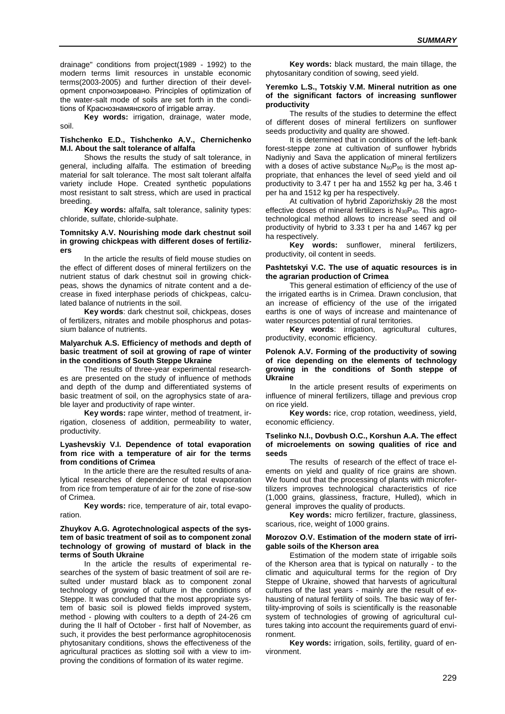drainage" conditions from project(1989 - 1992) to the modern terms limit resources in unstable economic terms(2003-2005) and further direction of their development спрогнозировано. Principles of optimization of the water-salt mode of soils are set forth in the conditions of Краснознамянского of irrigable array.

**Key words:** irrigation, drainage, water mode, soil.

## **Tishchenko E.D., Tishchenko A.V., Chernichenko M.I. About the salt tolerance of alfalfa**

Shows the results the study of salt tolerance, in general, including alfalfa. The estimation of breeding material for salt tolerance. The most salt tolerant alfalfa variety include Hope. Created synthetic populations most resistant to salt stress, which are used in practical breeding.

**Key words:** alfalfa, salt tolerance, salinity types: chloride, sulfate, chloride-sulphate.

# **Tomnitsky A.V. Nourishing mode dark chestnut soil in growing chickpeas with different doses of fertilizers**

In the article the results of field mouse studies on the effect of different doses of mineral fertilizers on the nutrient status of dark chestnut soil in growing chickpeas, shows the dynamics of nitrate content and a decrease in fixed interphase periods of chickpeas, calculated balance of nutrients in the soil.

**Key words**: dark chestnut soil, chickpeas, doses of fertilizers, nitrates and mobile phosphorus and potassium balance of nutrients.

## **Malyarchuk A.S. Efficiency of methods and depth of basic treatment of soil at growing of rape of winter in the conditions of South Steppe Ukraine**

The results of three-year experimental researches are presented on the study of influence of methods and depth of the dump and differentiated systems of basic treatment of soil, on the agrophysics state of arable layer and productivity of rape winter.

**Key words:** rape winter, method of treatment, irrigation, closeness of addition, permeability to water, productivity.

#### **Lyashevskiy V.I. Dependence of total evaporation from rice with a temperature of air for the terms from conditions of Crimea**

In the article there are the resulted results of analytical researches of dependence of total evaporation from rice from temperature of air for the zone of rise-sow of Crimea.

**Key words:** rice, temperature of air, total evaporation.

#### **Zhuykov A.G. Agrotechnological aspects of the system of basic treatment of soil as to component zonal technology of growing of mustard of black in the terms of South Ukraine**

In the article the results of experimental researches of the system of basic treatment of soil are resulted under mustard black as to component zonal technology of growing of culture in the conditions of Steppe. It was concluded that the most appropriate system of basic soil is plowed fields improved system, method - plowing with coulters to a depth of 24-26 cm during the II half of October - first half of November, as such, it provides the best performance agrophitocenosis phytosanitary conditions, shows the effectiveness of the agricultural practices as slotting soil with a view to improving the conditions of formation of its water regime.

**Key words:** black mustard, the main tillage, the phytosanitary condition of sowing, seed yield.

#### **Yeremko L.S., Totskiy V.M. Mineral nutrition as one of the significant factors of increasing sunflower productivity**

The results of the studies to determine the effect of different doses of mineral fertilizers on sunflower seeds productivity and quality are showed.

It is determined that in conditions of the left-bank forest-steppe zone at cultivation of sunflower hybrids Nadiyniy and Sava the application of mineral fertilizers with a doses of active substance  $N_{60}P_{90}$  is the most appropriate, that enhances the level of seed yield and oil productivity to 3.47 t per ha and 1552 kg per ha, 3.46 t per ha and 1512 kg per ha respectively.

At cultivation of hybrid Zaporizhskiy 28 the most effective doses of mineral fertilizers is  $N_{30}P_{40}$ . This agrotechnological method allows to increase seed and oil productivity of hybrid to 3.33 t per ha and 1467 kg per ha respectively.

**Key words:** sunflower, mineral fertilizers, productivity, oil content in seeds.

#### **Pashtetskyi V.C. The use of aquatic resources is in the agrarian production of Crimea**

This general estimation of efficiency of the use of the irrigated earths is in Crimea. Drawn conclusion, that an increase of efficiency of the use of the irrigated earths is one of ways of increase and maintenance of water resources potential of rural territories.

**Key words**: irrigation, agricultural cultures, productivity, economic efficiency.

#### **Polenok A.V. Forming of the productivity of sowing of rice depending on the elements of technology growing in the conditions of Sonth steppe of Ukraine**

In the article present results of experiments on influence of mineral fertilizers, tillage and previous crop on rice yield.

**Key words:** rice, crop rotation, weediness, yield, economic efficiency.

#### **Tselinko N.I., Dovbush O.C., Korshun A.A. The effect of microelements on sowing qualities of rice and seeds**

The results of research of the effect of trace elements on yield and quality of rice grains are shown. We found out that the processing of plants with microfertilizers improves technological characteristics of rice (1,000 grains, glassiness, fracture, Hulled), which in general improves the quality of products.

**Key words:** micro fertilizer, fracture, glassiness, scarious, rice, weight of 1000 grains.

#### **Моrоzоv О.V. Estimation of the modern state of irrigable soils of the Kherson area**

Estimation of the modern state of irrigable soils of the Kherson area that is typical on naturally - to the climatic and aquicultural terms for the region of Dry Steppe of Ukraine, showed that harvests of agricultural cultures of the last years - mainly are the result of exhausting of natural fertility of soils. The basic way of fertility-improving of soils is scientifically is the reasonable system of technologies of growing of agricultural cultures taking into account the requirements guard of environment.

**Key words:** irrigation, soils, fertility, guard of environment.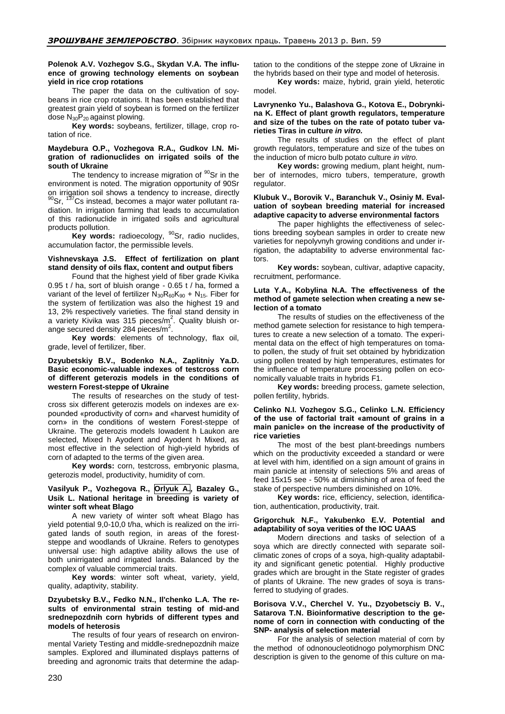# **Polenok A.V. Vozhegov S.G., Skydan V.A. The influence of growing technology elements on soybean yield in rice crop rotations**

The paper the data on the cultivation of soybeans in rice crop rotations. It has been established that greatest grain yield of soybean is formed on the fertilizer dose  $N_{30}P_{20}$  against plowing.

**Key words:** soybeans, fertilizer, tillage, crop rotation of rice.

#### **Maydebura O.P., Vozhegova R.A., Gudkov I.N. Migration of radionuclides on irrigated soils of the south of Ukraine**

The tendency to increase migration of <sup>90</sup>Sr in the environment is noted. The migration opportunity of 90Sr on irrigation soil shows a tendency to increase, directly  $90$ Sr,  $137$ Cs instead, becomes a major water pollutant radiation. In irrigation farming that leads to accumulation of this radionuclide in irrigated soils and agricultural products pollution.

Key words: radioecology, <sup>90</sup>Sr, radio nuclides, accumulation factor, the permissible levels.

# **Vishnevskaya J.S. Effect of fertilization on plant stand density of oils flax, content and output fibers**

Found that the highest yield of fiber grade Kivika 0.95 t / ha, sort of bluish orange - 0.65 t / ha, formed a variant of the level of fertilizer  $N_{30}R_{60}K_{90} + N_{15}$ . Fiber for the system of fertilization was also the highest 19 and 13, 2% respectively varieties. The final stand density in a variety Kivika was 315 pieces/ $m^2$ . Quality bluish orange secured density 284 pieces/ $m^2$ .

**Key words**: elements of technology, flax oil, grade, level of fertilizer, fiber.

# **Dzyubetskiy B.V., Bodenko N.A., Zaplitniy Ya.D. Basic economic-valuable indexes of testcross corn of different geterozis models in the conditions of western Forest-steppe of Ukraine**

The results of researches on the study of testcross six different geterozis models on indexes are expounded «productivity of corn» and «harvest humidity of corn» in the conditions of western Forest-steppe of Ukraine. The geterozis models Iowadent h Laukon are selected, Mixed h Ayodent and Ayodent h Mixed, as most effective in the selection of high-yield hybrids of corn of adapted to the terms of the given area.

**Key words:** corn, testcross, embryonic plasma, geterozis model, productivity, humidity of corn.

# **Vasilyuk P., Vozhegova R., Orlyuk A., Bazaley G., Usik L. National heritage in breeding is variety of winter soft wheat Blago**

A new variety of winter soft wheat Blago has yield potential 9,0-10,0 t/ha, which is realized on the irrigated lands of south region, in areas of the foreststeppe and woodlands of Ukraine. Refers to genotypes universal use: high adaptive ability allows the use of both unirrigated and irrigated lands. Balanced by the complex of valuable commercial traits.

**Key words**: winter soft wheat, variety, yield, quality, adaptivity, stability.

# **Dzyubetsky B.V., Fedko N.N., Il'chenko L.A. The results of environmental strain testing of mid-and srednepozdnih corn hybrids of different types and models of heterosis**

The results of four years of research on environmental Variety Testing and middle-srednepozdnih maize samples. Explored and illuminated displays patterns of breeding and agronomic traits that determine the adaptation to the conditions of the steppe zone of Ukraine in the hybrids based on their type and model of heterosis.

**Key words:** maize, hybrid, grain yield, heterotic model.

#### **Lavrynenko Yu., Balashova G., Kotova E., Dobrynkina K. Effect of plant growth regulators, temperature and size of the tubes on the rate of potato tuber varieties Tiras in culture** *in vitro.*

The results of studies on the effect of plant growth regulators, temperature and size of the tubes on the induction of micro bulb potato culture *in vitro.*

**Key words:** growing medium, plant height, number of internodes, micro tubers, temperature, growth regulator.

# **Klubuk V., Borovik V., Baranchuk V., Osiniy M. Evaluation of soybean breeding material for increased adaptive capacity to adverse environmental factors**

The paper highlights the effectiveness of selections breeding soybean samples in order to create new varieties for nepolyvnyh growing conditions and under irrigation, the adaptability to adverse environmental factors.

**Key words:** soybean, cultivar, adaptive capacity, recruitment, performance.

#### **Lutа Y.A., Kobylina N.A. The effectiveness of the method of gamete selection when creating a new selection of a tomato**

The results of studies on the effectiveness of the method gamete selection for resistance to high temperatures to create a new selection of a tomato. The experimental data on the effect of high temperatures on tomato pollen, the study of fruit set obtained by hybridization using pollen treated by high temperatures, estimates for the influence of temperature processing pollen on economically valuable traits in hybrids F1.

**Key words:** breeding process, gamete selection, pollen fertility, hybrids.

#### **Celinko N.I. Vozhegov S.G., Celinko L.N. Efficiency of the use of factorial trait «amount of grains in a main panicle» on the increase of the productivity of rice varieties**

The most of the best plant-breedings numbers which on the productivity exceeded a standard or were at level with him, identified on a sign amount of grains in main panicle at intensity of selections 5% and areas of feed 15x15 see - 50% at diminishing of area of feed the stake of perspective numbers diminished on 10%.

**Key words:** rice, efficiency, selection, identification, authentication, productivity, trait.

# **Grigorchuk N.F., Yakubenko E.V. Potential and adaptability of soya verities of the IOC UAAS**

Modern directions and tasks of selection of a soya which are directly connected with separate soilclimatic zones of crops of a soya, high-quality adaptability and significant genetic potential. Highly productive grades which are brought in the State register of grades of plants of Ukraine. The new grades of soya is transferred to studying of grades.

# **Borisova V.V., Cherchel V. Yu., Dzyobetsciy B. V., Satarova T.N. Bioinformative description to the genome of corn in connection with conducting of the SNP- analysis of selection material**

For the analysis of selection material of corn by the method of odnonoucleotidnogo polymorphism DNC description is given to the genome of this culture on ma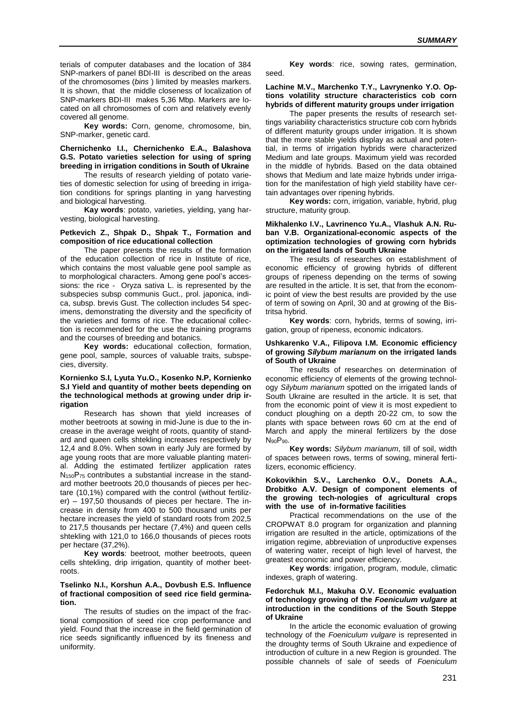terials of computer databases and the location of 384 SNP-markers of panel BDI-III is described on the areas of the chromosomes (*bins* ) limited by measles markers. It is shown, that the middle closeness of localization of SNP-markers BDI-III makes 5,36 Mbp. Markers are located on all chromosomes of corn and relatively evenly covered all genome.

**Key words:** Corn, genome, chromosome, bin, SNP-marker, genetic card.

#### **Chernichenko I.I., Chernichenko E.A., Balashova G.S. Potato varieties selection for using of spring breeding in irrigation conditions in South of Ukraine**

The results of research yielding of potato varieties of domestic selection for using of breeding in irrigation conditions for springs planting in yang harvesting and biological harvesting.

**Kay words**: potato, varieties, yielding, yang harvesting, biological harvesting.

#### **Petkevich Z., Shpak D., Shpak T., Formation and composition of rice educational collection**

The paper presents the results of the formation of the education collection of rice in Institute of rice, which contains the most valuable gene pool sample as to morphological characters. Among gene pool's accessions: the rice - Oryza sativa L. is represented by the subspecies subsp communis Guct., prol. japonica, indica, subsp. brevis Gust. The collection includes 54 specimens, demonstrating the diversity and the specificity of the varieties and forms of rice. The educational collection is recommended for the use the training programs and the courses of breeding and botanics.

**Key words:** educational collection, formation, gene pool, sample, sources of valuable traits, subspecies, diversitу.

#### **Kornienko S.I, Lyuta Yu.O., Kosenko N.P, Kornienko S.I Yield and quantity of mother beets depending on the technological methods at growing under drip irrigation**

Research has shown that yield increases of mother beetroots at sowing in mid-June is due to the increase in the average weight of roots, quantity of standard and queen cells shtekling increases respectively by 12,4 and 8.0%. When sown in early July are formed by age young roots that are more valuable planting material. Adding the estimated fertilizer application rates  $N_{150}P_{75}$  contributes a substantial increase in the standard mother beetroots 20,0 thousands of pieces per hectare (10,1%) compared with the control (without fertilizer) – 197,50 thousands of pieces per hectare. The increase in density from 400 to 500 thousand units per hectare increases the yield of standard roots from 202,5 to 217,5 thousands per hectare (7,4%) and queen cells shtekling with 121,0 to 166,0 thousands of pieces roots per hectare (37,2%).

**Key words**: beetroot, mother beetroots, queen cells shtekling, drip irrigation, quantity of mother beetroots.

#### **Tselinko N.I., Korshun A.A., Dovbush E.S. Influence of fractional composition of seed rice field germination.**

The results of studies on the impact of the fractional composition of seed rice crop performance and yield. Found that the increase in the field germination of rice seeds significantly influenced by its fineness and uniformity.

**Key words**: rice, sowing rates, germination, seed.

#### **Lachine M.V., Marchenko T.Y., Lavrynenko Y.O. Options volatility structure characteristics cob corn hybrids of different maturity groups under irrigation**

The paper presents the results of research settings variability characteristics structure cob corn hybrids of different maturity groups under irrigation. It is shown that the more stable yields display as actual and potential, in terms of irrigation hybrids were characterized Medium and late groups. Maximum yield was recorded in the middle of hybrids. Based on the data obtained shows that Medium and late maize hybrids under irrigation for the manifestation of high yield stability have certain advantages over ripening hybrids.

**Key words:** corn, irrigation, variable, hybrid, plug structure, maturity group.

## **Mikhalenko I.V., Lavrinenco Yu.A., Vlashuk A.N. Ruban V.B. Organizational-economic aspects of the optimization technologies of growing corn hybrids on the irrigated lands of South Ukraine**

The results of researches on establishment of economic efficiency of growing hybrids of different groups of ripeness depending on the terms of sowing are resulted in the article. It is set, that from the economic point of view the best results are provided by the use of term of sowing on April, 30 and at growing of the Bistritsa hybrid.

**Key words**: corn, hybrids, terms of sowing, irrigation, group of ripeness, economic indicators.

#### **Ushkarenko V.A., Filipova I.M. Economic efficiency of growing** *Sіlybum marіanum* **on the irrigated lands of South of Ukraine**

The results of researches on determination of economic efficiency of elements of the growing technology *Sіlybum marіanum* spotted on the irrigated lands of South Ukraine are resulted in the article. It is set, that from the economic point of view it is most expedient to conduct ploughing on a depth 20-22 cm, to sow the plants with space between rows 60 cm at the end of March and apply the mineral fertilizers by the dose N90P90.

**Key words:** *Sіlybum marіanum*, till of soil, width of spaces between rows, terms of sowing, mineral fertilizers, economic efficiency.

#### **Kokovikhin S.V., Larchenko O.V., Donets A.A., Drobitko A.V. Design of component elements of the growing tech-nologies of agricultural crops with the use of in-formative facilities**

Practical recommendations on the use of the CROPWAT 8.0 program for organization and planning irrigation are resulted in the article, optimizations of the irrigation regime, abbreviation of unproductive expenses of watering water, receipt of high level of harvest, the greatest economic and power efficiency.

**Key words**: irrigation, program, module, climatic indexes, graph of watering.

#### **Fedorchuk M.I., Makuha O.V. Economic evaluation of technology growing of the** *Foeniculum vulgare* **at introduction in the conditions of the South Steppe of Ukraine**

In the article the economic evaluation of growing technology of the *Foeniculum vulgare* is represented in the droughty terms of South Ukraine and expedience of introduction of culture in a new Region is grounded. The possible channels of sale of seeds of *Foeniculum*